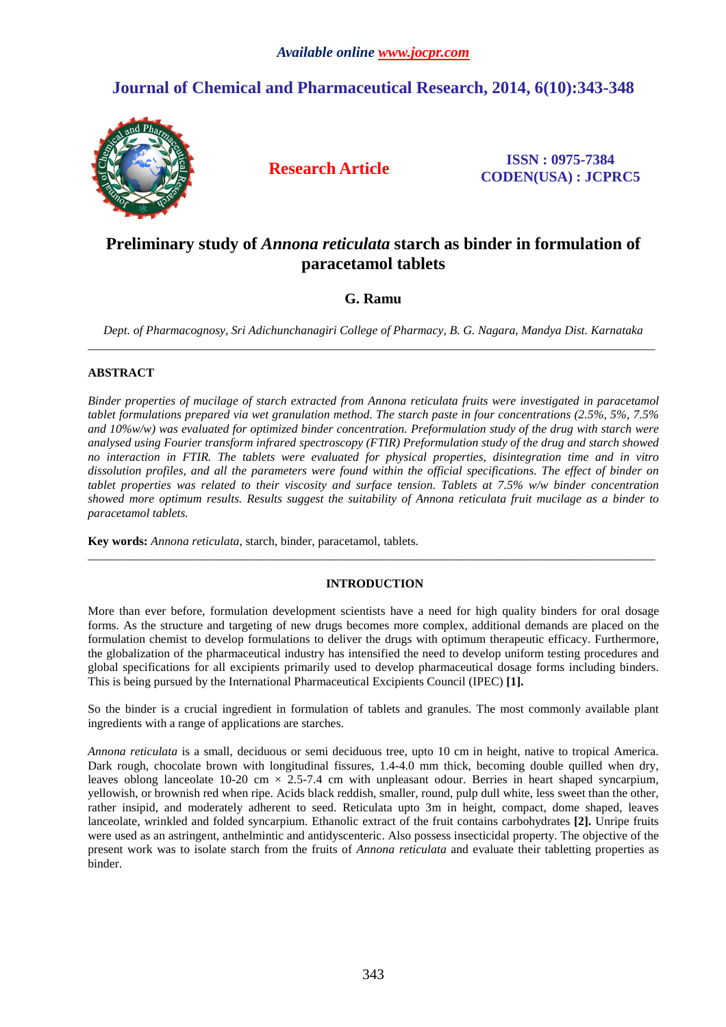# **Journal of Chemical and Pharmaceutical Research, 2014, 6(10):343-348**



**Research Article ISSN : 0975-7384 CODEN(USA) : JCPRC5**

# **Preliminary study of** *Annona reticulata* **starch as binder in formulation of paracetamol tablets**

## **G. Ramu**

*Dept. of Pharmacognosy, Sri Adichunchanagiri College of Pharmacy, B. G. Nagara, Mandya Dist. Karnataka* \_\_\_\_\_\_\_\_\_\_\_\_\_\_\_\_\_\_\_\_\_\_\_\_\_\_\_\_\_\_\_\_\_\_\_\_\_\_\_\_\_\_\_\_\_\_\_\_\_\_\_\_\_\_\_\_\_\_\_\_\_\_\_\_\_\_\_\_\_\_\_\_\_\_\_\_\_\_\_\_\_\_\_\_\_\_\_\_\_\_\_\_\_

### **ABSTRACT**

*Binder properties of mucilage of starch extracted from Annona reticulata fruits were investigated in paracetamol tablet formulations prepared via wet granulation method. The starch paste in four concentrations (2.5%, 5%, 7.5% and 10%w/w) was evaluated for optimized binder concentration. Preformulation study of the drug with starch were analysed using Fourier transform infrared spectroscopy (FTIR) Preformulation study of the drug and starch showed no interaction in FTIR. The tablets were evaluated for physical properties, disintegration time and in vitro dissolution profiles, and all the parameters were found within the official specifications. The effect of binder on tablet properties was related to their viscosity and surface tension. Tablets at 7.5% w/w binder concentration showed more optimum results. Results suggest the suitability of Annona reticulata fruit mucilage as a binder to paracetamol tablets.* 

**Key words:** *Annona reticulata,* starch, binder, paracetamol, tablets.

### **INTRODUCTION**

\_\_\_\_\_\_\_\_\_\_\_\_\_\_\_\_\_\_\_\_\_\_\_\_\_\_\_\_\_\_\_\_\_\_\_\_\_\_\_\_\_\_\_\_\_\_\_\_\_\_\_\_\_\_\_\_\_\_\_\_\_\_\_\_\_\_\_\_\_\_\_\_\_\_\_\_\_\_\_\_\_\_\_\_\_\_\_\_\_\_\_\_\_

More than ever before, formulation development scientists have a need for high quality binders for oral dosage forms. As the structure and targeting of new drugs becomes more complex, additional demands are placed on the formulation chemist to develop formulations to deliver the drugs with optimum therapeutic efficacy. Furthermore, the globalization of the pharmaceutical industry has intensified the need to develop uniform testing procedures and global specifications for all excipients primarily used to develop pharmaceutical dosage forms including binders. This is being pursued by the International Pharmaceutical Excipients Council (IPEC) **[1].** 

So the binder is a crucial ingredient in formulation of tablets and granules. The most commonly available plant ingredients with a range of applications are starches.

*Annona reticulata* is a small, deciduous or semi deciduous tree, upto 10 cm in height, native to tropical America. Dark rough, chocolate brown with longitudinal fissures, 1.4-4.0 mm thick, becoming double quilled when dry, leaves oblong lanceolate  $10-20$  cm  $\times$  2.5-7.4 cm with unpleasant odour. Berries in heart shaped syncarpium, yellowish, or brownish red when ripe. Acids black reddish, smaller, round, pulp dull white, less sweet than the other, rather insipid, and moderately adherent to seed. Reticulata upto 3m in height, compact, dome shaped, leaves lanceolate, wrinkled and folded syncarpium. Ethanolic extract of the fruit contains carbohydrates **[2].** Unripe fruits were used as an astringent, anthelmintic and antidyscenteric. Also possess insecticidal property. The objective of the present work was to isolate starch from the fruits of *Annona reticulata* and evaluate their tabletting properties as binder.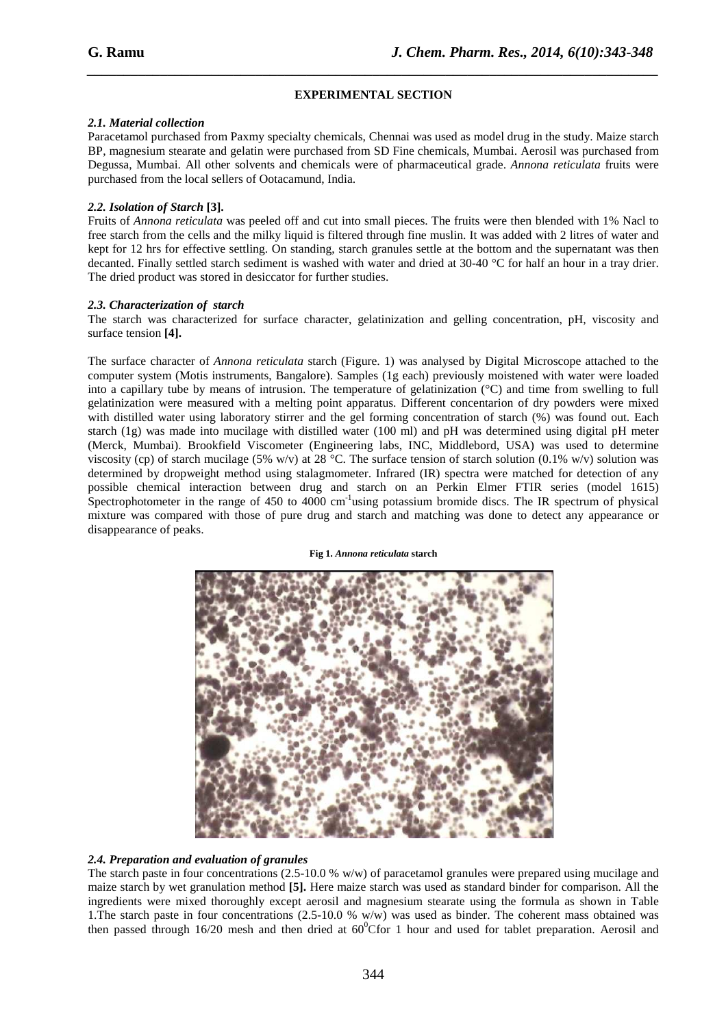#### **EXPERIMENTAL SECTION**

*\_\_\_\_\_\_\_\_\_\_\_\_\_\_\_\_\_\_\_\_\_\_\_\_\_\_\_\_\_\_\_\_\_\_\_\_\_\_\_\_\_\_\_\_\_\_\_\_\_\_\_\_\_\_\_\_\_\_\_\_\_\_\_\_\_\_\_\_\_\_\_\_\_\_\_\_\_\_*

#### *2.1. Material collection*

Paracetamol purchased from Paxmy specialty chemicals, Chennai was used as model drug in the study. Maize starch BP, magnesium stearate and gelatin were purchased from SD Fine chemicals, Mumbai. Aerosil was purchased from Degussa, Mumbai. All other solvents and chemicals were of pharmaceutical grade. *Annona reticulata* fruits were purchased from the local sellers of Ootacamund, India.

#### *2.2. Isolation of Starch* **[3].**

Fruits of *Annona reticulata* was peeled off and cut into small pieces. The fruits were then blended with 1% Nacl to free starch from the cells and the milky liquid is filtered through fine muslin. It was added with 2 litres of water and kept for 12 hrs for effective settling. On standing, starch granules settle at the bottom and the supernatant was then decanted. Finally settled starch sediment is washed with water and dried at 30-40 °C for half an hour in a tray drier. The dried product was stored in desiccator for further studies.

#### *2.3. Characterization of starch*

The starch was characterized for surface character, gelatinization and gelling concentration, pH, viscosity and surface tension **[4].** 

The surface character of *Annona reticulata* starch (Figure. 1) was analysed by Digital Microscope attached to the computer system (Motis instruments, Bangalore). Samples (1g each) previously moistened with water were loaded into a capillary tube by means of intrusion. The temperature of gelatinization (°C) and time from swelling to full gelatinization were measured with a melting point apparatus. Different concentarion of dry powders were mixed with distilled water using laboratory stirrer and the gel forming concentration of starch (%) was found out. Each starch (1g) was made into mucilage with distilled water (100 ml) and pH was determined using digital pH meter (Merck, Mumbai). Brookfield Viscometer (Engineering labs, INC, Middlebord, USA) was used to determine viscosity (cp) of starch mucilage (5% w/v) at 28 °C. The surface tension of starch solution (0.1% w/v) solution was determined by dropweight method using stalagmometer. Infrared (IR) spectra were matched for detection of any possible chemical interaction between drug and starch on an Perkin Elmer FTIR series (model 1615) Spectrophotometer in the range of 450 to 4000  $cm^{-1}$  using potassium bromide discs. The IR spectrum of physical mixture was compared with those of pure drug and starch and matching was done to detect any appearance or disappearance of peaks.

#### **Fig 1.** *Annona reticulata* **starch**



#### *2.4. Preparation and evaluation of granules*

The starch paste in four concentrations  $(2.5-10.0 % w/w)$  of paracetamol granules were prepared using mucilage and maize starch by wet granulation method **[5].** Here maize starch was used as standard binder for comparison. All the ingredients were mixed thoroughly except aerosil and magnesium stearate using the formula as shown in Table 1.The starch paste in four concentrations (2.5-10.0 % w/w) was used as binder. The coherent mass obtained was then passed through 16/20 mesh and then dried at  $60^{\circ}$ Cfor 1 hour and used for tablet preparation. Aerosil and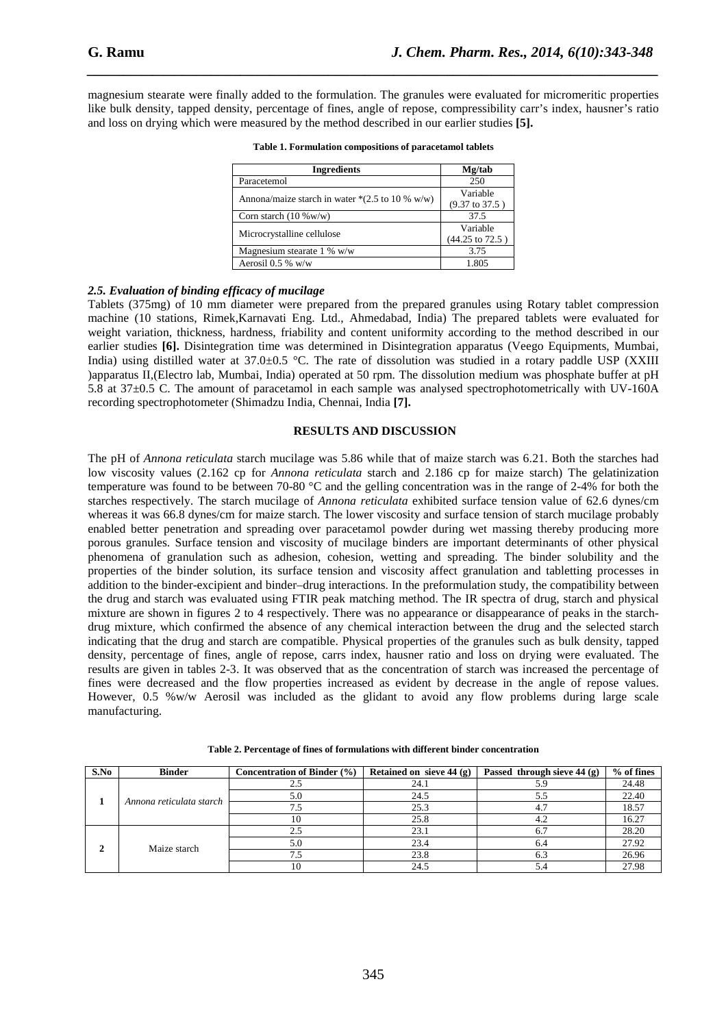magnesium stearate were finally added to the formulation. The granules were evaluated for micromeritic properties like bulk density, tapped density, percentage of fines, angle of repose, compressibility carr's index, hausner's ratio and loss on drying which were measured by the method described in our earlier studies **[5].** 

*\_\_\_\_\_\_\_\_\_\_\_\_\_\_\_\_\_\_\_\_\_\_\_\_\_\_\_\_\_\_\_\_\_\_\_\_\_\_\_\_\_\_\_\_\_\_\_\_\_\_\_\_\_\_\_\_\_\_\_\_\_\_\_\_\_\_\_\_\_\_\_\_\_\_\_\_\_\_*

| <b>Ingredients</b>                                                 | Mg/tab                     |  |  |
|--------------------------------------------------------------------|----------------------------|--|--|
| Paracetemol                                                        | 250                        |  |  |
| Annona/maize starch in water $*(2.5 \text{ to } 10 \text{ % w/w})$ | Variable                   |  |  |
|                                                                    | $(9.37 \text{ to } 37.5)$  |  |  |
| Corn starch $(10\% \text{w/w})$                                    | 37.5                       |  |  |
|                                                                    | Variable                   |  |  |
| Microcrystalline cellulose                                         | $(44.25 \text{ to } 72.5)$ |  |  |
| Magnesium stearate 1 % w/w                                         | 3.75                       |  |  |
| Aerosil $0.5 %$ w/w                                                | 1.805                      |  |  |

**Table 1. Formulation compositions of paracetamol tablets** 

#### *2.5. Evaluation of binding efficacy of mucilage*

Tablets (375mg) of 10 mm diameter were prepared from the prepared granules using Rotary tablet compression machine (10 stations, Rimek,Karnavati Eng. Ltd., Ahmedabad, India) The prepared tablets were evaluated for weight variation, thickness, hardness, friability and content uniformity according to the method described in our earlier studies **[6].** Disintegration time was determined in Disintegration apparatus (Veego Equipments, Mumbai, India) using distilled water at  $37.0\pm0.5$  °C. The rate of dissolution was studied in a rotary paddle USP (XXIII) )apparatus II,(Electro lab, Mumbai, India) operated at 50 rpm. The dissolution medium was phosphate buffer at pH 5.8 at 37±0.5 C. The amount of paracetamol in each sample was analysed spectrophotometrically with UV-160A recording spectrophotometer (Shimadzu India, Chennai, India **[7].** 

#### **RESULTS AND DISCUSSION**

The pH of *Annona reticulata* starch mucilage was 5.86 while that of maize starch was 6.21. Both the starches had low viscosity values (2.162 cp for *Annona reticulata* starch and 2.186 cp for maize starch) The gelatinization temperature was found to be between 70-80 °C and the gelling concentration was in the range of 2-4% for both the starches respectively. The starch mucilage of *Annona reticulata* exhibited surface tension value of 62.6 dynes/cm whereas it was 66.8 dynes/cm for maize starch. The lower viscosity and surface tension of starch mucilage probably enabled better penetration and spreading over paracetamol powder during wet massing thereby producing more porous granules. Surface tension and viscosity of mucilage binders are important determinants of other physical phenomena of granulation such as adhesion, cohesion, wetting and spreading. The binder solubility and the properties of the binder solution, its surface tension and viscosity affect granulation and tabletting processes in addition to the binder-excipient and binder–drug interactions. In the preformulation study, the compatibility between the drug and starch was evaluated using FTIR peak matching method. The IR spectra of drug, starch and physical mixture are shown in figures 2 to 4 respectively. There was no appearance or disappearance of peaks in the starchdrug mixture, which confirmed the absence of any chemical interaction between the drug and the selected starch indicating that the drug and starch are compatible. Physical properties of the granules such as bulk density, tapped density, percentage of fines, angle of repose, carrs index, hausner ratio and loss on drying were evaluated. The results are given in tables 2-3. It was observed that as the concentration of starch was increased the percentage of fines were decreased and the flow properties increased as evident by decrease in the angle of repose values. However, 0.5 %w/w Aerosil was included as the glidant to avoid any flow problems during large scale manufacturing.

| S.No                        | <b>Binder</b>            | <b>Concentration of Binder (%)</b> | Retained on sieve $44$ (g) | Passed through sieve 44 (g) | $%$ of fines |
|-----------------------------|--------------------------|------------------------------------|----------------------------|-----------------------------|--------------|
|                             | Annona reticulata starch |                                    | 24.1                       |                             | 24.48        |
|                             |                          |                                    | 24.5                       |                             | 22.40        |
|                             |                          |                                    | 25.3                       |                             | 18.57        |
|                             |                          |                                    | 25.8                       |                             | 16.27        |
| $\mathcal{D}_{\mathcal{L}}$ | Maize starch             |                                    | 23.1                       |                             | 28.20        |
|                             |                          | 5.0                                | 23.4                       | 6.4                         | 27.92        |
|                             |                          |                                    | 23.8                       |                             | 26.96        |
|                             |                          |                                    | 24.5                       |                             | 27.98        |

**Table 2. Percentage of fines of formulations with different binder concentration**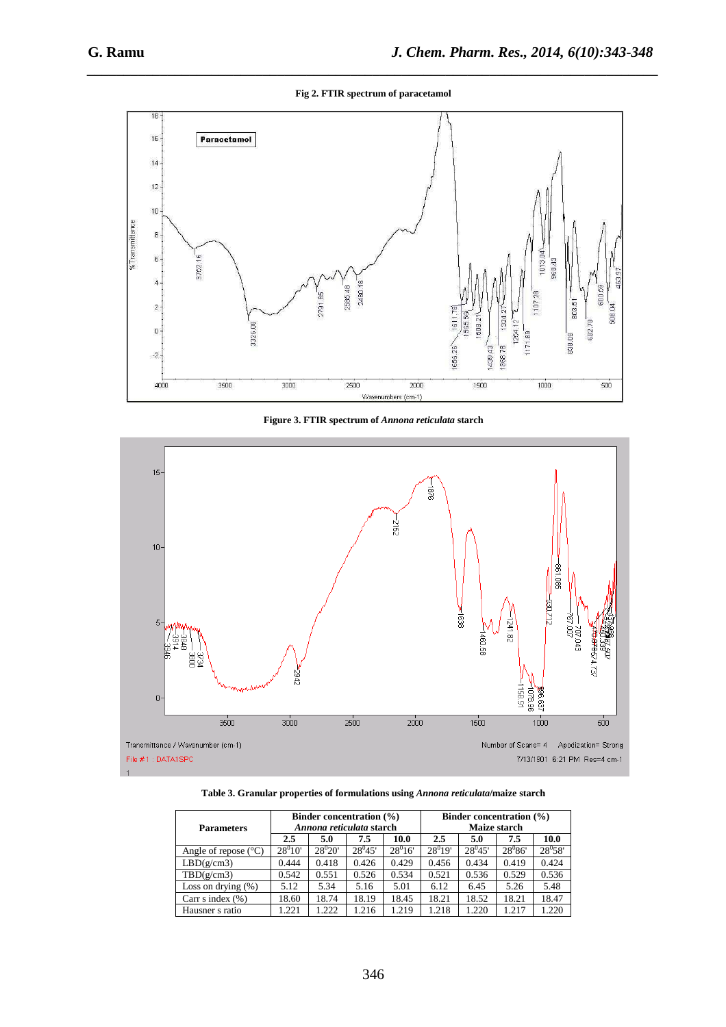*\_\_\_\_\_\_\_\_\_\_\_\_\_\_\_\_\_\_\_\_\_\_\_\_\_\_\_\_\_\_\_\_\_\_\_\_\_\_\_\_\_\_\_\_\_\_\_\_\_\_\_\_\_\_\_\_\_\_\_\_\_\_\_\_\_\_\_\_\_\_\_\_\_\_\_\_\_\_* **Fig 2. FTIR spectrum of paracetamol** 



**Figure 3. FTIR spectrum of** *Annona reticulata* **starch** 



**Table 3. Granular properties of formulations using** *Annona reticulata***/maize starch** 

| <b>Parameters</b>             | <b>Binder concentration (%)</b><br>Annona reticulata starch |             |             |             | <b>Binder concentration (%)</b><br><b>Maize starch</b> |             |             |             |
|-------------------------------|-------------------------------------------------------------|-------------|-------------|-------------|--------------------------------------------------------|-------------|-------------|-------------|
|                               | 2.5                                                         | 5.0         | 7.5         | 10.0        | 2.5                                                    | 5.0         | 7.5         | 10.0        |
| Angle of repose $(^{\circ}C)$ | $28^{0}10'$                                                 | $28^{0}20'$ | $28^{0}45'$ | $28^{0}16'$ | $28^{0}19'$                                            | $28^{0}45'$ | $28^{0}86'$ | $28^{0}58'$ |
| LBD(g/cm3)                    | 0.444                                                       | 0.418       | 0.426       | 0.429       | 0.456                                                  | 0.434       | 0.419       | 0.424       |
| TBD(g/cm3)                    | 0.542                                                       | 0.551       | 0.526       | 0.534       | 0.521                                                  | 0.536       | 0.529       | 0.536       |
| Loss on drying $(\%)$         | 5.12                                                        | 5.34        | 5.16        | 5.01        | 6.12                                                   | 6.45        | 5.26        | 5.48        |
| Carr s index $(\% )$          | 18.60                                                       | 18.74       | 18.19       | 18.45       | 18.21                                                  | 18.52       | 18.21       | 18.47       |
| Hausner s ratio               | .221                                                        | 1.222       | 1.216       | 1.219       | 1.218                                                  | 1.220       | 1.217       | 1.220       |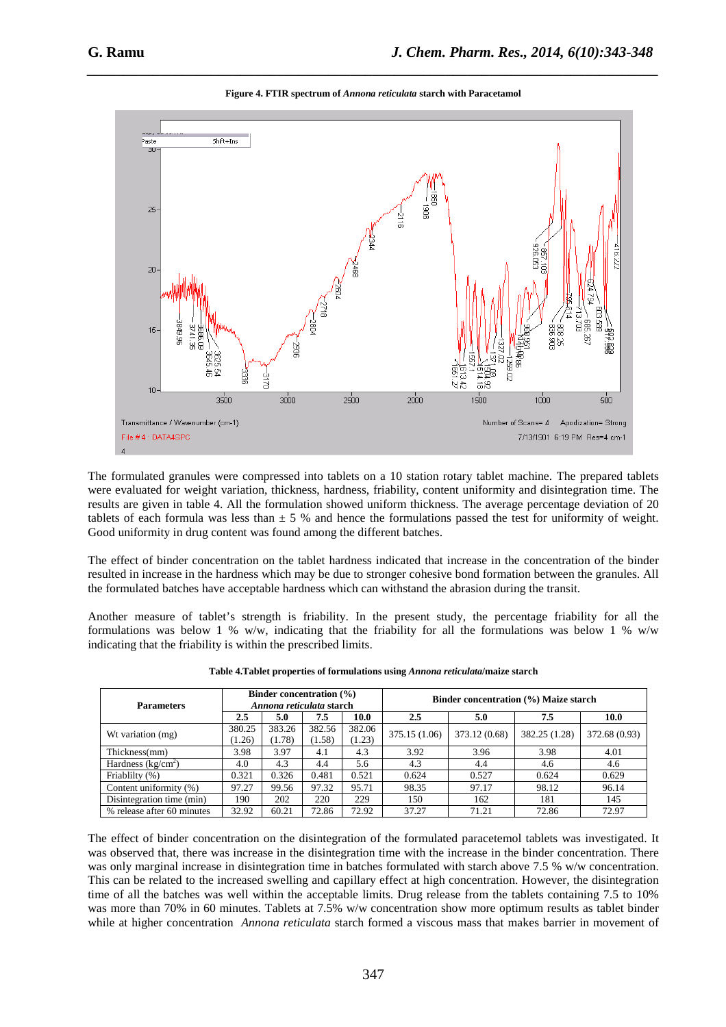

*\_\_\_\_\_\_\_\_\_\_\_\_\_\_\_\_\_\_\_\_\_\_\_\_\_\_\_\_\_\_\_\_\_\_\_\_\_\_\_\_\_\_\_\_\_\_\_\_\_\_\_\_\_\_\_\_\_\_\_\_\_\_\_\_\_\_\_\_\_\_\_\_\_\_\_\_\_\_* **Figure 4. FTIR spectrum of** *Annona reticulata* **starch with Paracetamol** 

The formulated granules were compressed into tablets on a 10 station rotary tablet machine. The prepared tablets were evaluated for weight variation, thickness, hardness, friability, content uniformity and disintegration time. The results are given in table 4. All the formulation showed uniform thickness. The average percentage deviation of 20 tablets of each formula was less than  $\pm$  5 % and hence the formulations passed the test for uniformity of weight. Good uniformity in drug content was found among the different batches.

The effect of binder concentration on the tablet hardness indicated that increase in the concentration of the binder resulted in increase in the hardness which may be due to stronger cohesive bond formation between the granules. All the formulated batches have acceptable hardness which can withstand the abrasion during the transit.

Another measure of tablet's strength is friability. In the present study, the percentage friability for all the formulations was below 1 % w/w, indicating that the friability for all the formulations was below 1 % w/w indicating that the friability is within the prescribed limits.

| <b>Parameters</b>          | Binder concentration $(\% )$<br>Annona reticulata starch |                  |                  |                  | Binder concentration (%) Maize starch |               |               |               |
|----------------------------|----------------------------------------------------------|------------------|------------------|------------------|---------------------------------------|---------------|---------------|---------------|
|                            | 2.5                                                      | 5.0              | 7.5              | 10.0             | 2.5                                   | 5.0           | 7.5           | 10.0          |
| Wt variation (mg)          | 380.25<br>(1.26)                                         | 383.26<br>(1.78) | 382.56<br>(1.58) | 382.06<br>(1.23) | 375.15 (1.06)                         | 373.12 (0.68) | 382.25 (1.28) | 372.68 (0.93) |
| Thickness(mm)              | 3.98                                                     | 3.97             | 4.1              | 4.3              | 3.92                                  | 3.96          | 3.98          | 4.01          |
| Hardness $(kg/cm2)$        | 4.0                                                      | 4.3              | 4.4              | 5.6              | 4.3                                   | 4.4           | 4.6           | 4.6           |
| Friablilty (%)             | 0.321                                                    | 0.326            | 0.481            | 0.521            | 0.624                                 | 0.527         | 0.624         | 0.629         |
| Content uniformity (%)     | 97.27                                                    | 99.56            | 97.32            | 95.71            | 98.35                                 | 97.17         | 98.12         | 96.14         |
| Disintegration time (min)  | 190                                                      | 202              | 220              | 229              | 150                                   | 162           | 181           | 145           |
| % release after 60 minutes | 32.92                                                    | 60.21            | 72.86            | 72.92            | 37.27                                 | 71.21         | 72.86         | 72.97         |

The effect of binder concentration on the disintegration of the formulated paracetemol tablets was investigated. It was observed that, there was increase in the disintegration time with the increase in the binder concentration. There was only marginal increase in disintegration time in batches formulated with starch above 7.5 % w/w concentration. This can be related to the increased swelling and capillary effect at high concentration. However, the disintegration time of all the batches was well within the acceptable limits. Drug release from the tablets containing 7.5 to 10% was more than 70% in 60 minutes. Tablets at 7.5% w/w concentration show more optimum results as tablet binder while at higher concentration *Annona reticulata* starch formed a viscous mass that makes barrier in movement of